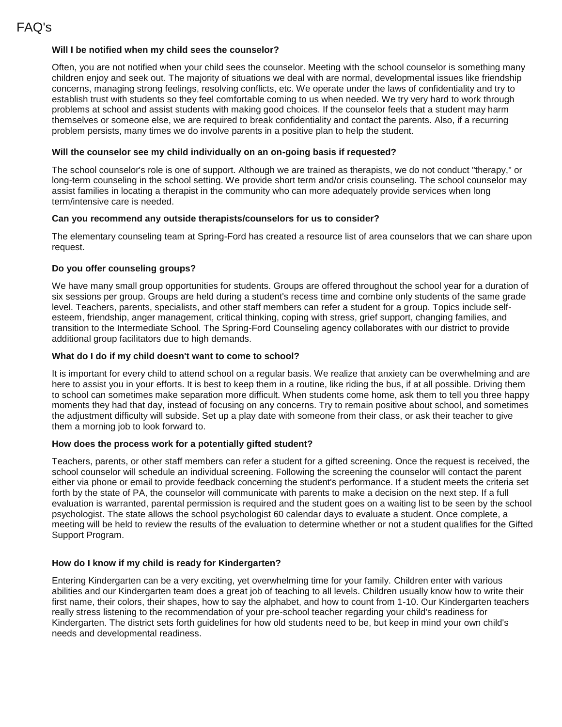## **Will I be notified when my child sees the counselor?**

Often, you are not notified when your child sees the counselor. Meeting with the school counselor is something many children enjoy and seek out. The majority of situations we deal with are normal, developmental issues like friendship concerns, managing strong feelings, resolving conflicts, etc. We operate under the laws of confidentiality and try to establish trust with students so they feel comfortable coming to us when needed. We try very hard to work through problems at school and assist students with making good choices. If the counselor feels that a student may harm themselves or someone else, we are required to break confidentiality and contact the parents. Also, if a recurring problem persists, many times we do involve parents in a positive plan to help the student.

### **Will the counselor see my child individually on an on-going basis if requested?**

The school counselor's role is one of support. Although we are trained as therapists, we do not conduct "therapy," or long-term counseling in the school setting. We provide short term and/or crisis counseling. The school counselor may assist families in locating a therapist in the community who can more adequately provide services when long term/intensive care is needed.

#### **Can you recommend any outside therapists/counselors for us to consider?**

The elementary counseling team at Spring-Ford has created a resource list of area counselors that we can share upon request.

# **Do you offer counseling groups?**

We have many small group opportunities for students. Groups are offered throughout the school year for a duration of six sessions per group. Groups are held during a student's recess time and combine only students of the same grade level. Teachers, parents, specialists, and other staff members can refer a student for a group. Topics include selfesteem, friendship, anger management, critical thinking, coping with stress, grief support, changing families, and transition to the Intermediate School. The Spring-Ford Counseling agency collaborates with our district to provide additional group facilitators due to high demands.

#### **What do I do if my child doesn't want to come to school?**

It is important for every child to attend school on a regular basis. We realize that anxiety can be overwhelming and are here to assist you in your efforts. It is best to keep them in a routine, like riding the bus, if at all possible. Driving them to school can sometimes make separation more difficult. When students come home, ask them to tell you three happy moments they had that day, instead of focusing on any concerns. Try to remain positive about school, and sometimes the adjustment difficulty will subside. Set up a play date with someone from their class, or ask their teacher to give them a morning job to look forward to.

#### **How does the process work for a potentially gifted student?**

Teachers, parents, or other staff members can refer a student for a gifted screening. Once the request is received, the school counselor will schedule an individual screening. Following the screening the counselor will contact the parent either via phone or email to provide feedback concerning the student's performance. If a student meets the criteria set forth by the state of PA, the counselor will communicate with parents to make a decision on the next step. If a full evaluation is warranted, parental permission is required and the student goes on a waiting list to be seen by the school psychologist. The state allows the school psychologist 60 calendar days to evaluate a student. Once complete, a meeting will be held to review the results of the evaluation to determine whether or not a student qualifies for the Gifted Support Program.

#### **How do I know if my child is ready for Kindergarten?**

Entering Kindergarten can be a very exciting, yet overwhelming time for your family. Children enter with various abilities and our Kindergarten team does a great job of teaching to all levels. Children usually know how to write their first name, their colors, their shapes, how to say the alphabet, and how to count from 1-10. Our Kindergarten teachers really stress listening to the recommendation of your pre-school teacher regarding your child's readiness for Kindergarten. The district sets forth guidelines for how old students need to be, but keep in mind your own child's needs and developmental readiness.